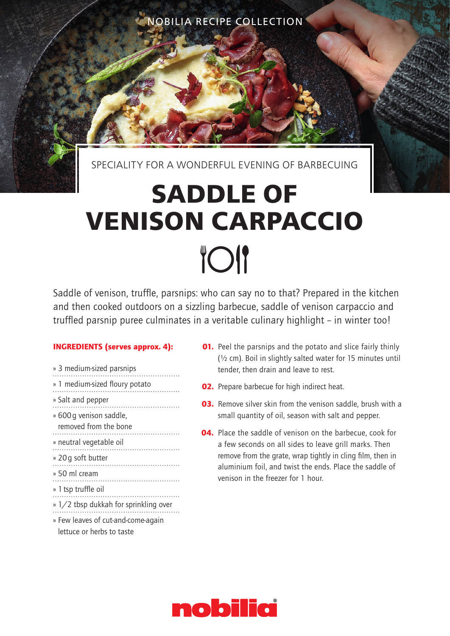NOBILIA RECIPE COLLECTION

SPECIALITY FOR A WONDERFUL EVENING OF BARBECUING

## **SADDLE OF VENISON CARPACCIO TOI**

Saddle of venison, truffle, parsnips: who can say no to that? Prepared in the kitchen and then cooked outdoors on a sizzling barbecue, saddle of venison carpaccio and truffled parsnip puree culminates in a veritable culinary highlight – in winter too!

## INGREDIENTS (serves approx. 4):

- » 3 medium-sized parsnips » 1 medium-sized floury potato » Salt and pepper » 600g venison saddle, removed from the bone » neutral vegetable oil » 20g soft butter » 50 ml cream » 1tsp truffle oil » 1/2 tbsp dukkah for sprinkling over » Few leaves of cut-and-come-again lettuce or herbs to taste
- **01.** Peel the parsnips and the potato and slice fairly thinly (½ cm). Boil in slightly salted water for 15 minutes until tender, then drain and leave to rest.
- **02.** Prepare barbecue for high indirect heat.
- **03.** Remove silver skin from the venison saddle, brush with a small quantity of oil, season with salt and pepper.
- 04. Place the saddle of venison on the barbecue, cook for a few seconds on all sides to leave grill marks. Then remove from the grate, wrap tightly in cling film, then in aluminium foil, and twist the ends. Place the saddle of venison in the freezer for 1 hour.